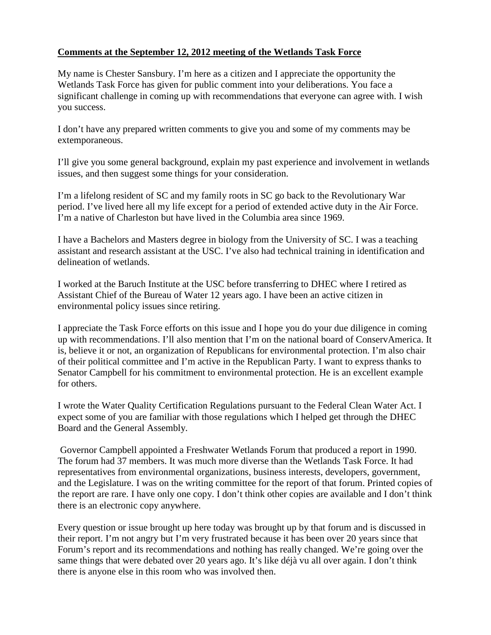## **Comments at the September 12, 2012 meeting of the Wetlands Task Force**

My name is Chester Sansbury. I'm here as a citizen and I appreciate the opportunity the Wetlands Task Force has given for public comment into your deliberations. You face a significant challenge in coming up with recommendations that everyone can agree with. I wish you success.

I don't have any prepared written comments to give you and some of my comments may be extemporaneous.

I'll give you some general background, explain my past experience and involvement in wetlands issues, and then suggest some things for your consideration.

I'm a lifelong resident of SC and my family roots in SC go back to the Revolutionary War period. I've lived here all my life except for a period of extended active duty in the Air Force. I'm a native of Charleston but have lived in the Columbia area since 1969.

I have a Bachelors and Masters degree in biology from the University of SC. I was a teaching assistant and research assistant at the USC. I've also had technical training in identification and delineation of wetlands.

I worked at the Baruch Institute at the USC before transferring to DHEC where I retired as Assistant Chief of the Bureau of Water 12 years ago. I have been an active citizen in environmental policy issues since retiring.

I appreciate the Task Force efforts on this issue and I hope you do your due diligence in coming up with recommendations. I'll also mention that I'm on the national board of ConservAmerica. It is, believe it or not, an organization of Republicans for environmental protection. I'm also chair of their political committee and I'm active in the Republican Party. I want to express thanks to Senator Campbell for his commitment to environmental protection. He is an excellent example for others.

I wrote the Water Quality Certification Regulations pursuant to the Federal Clean Water Act. I expect some of you are familiar with those regulations which I helped get through the DHEC Board and the General Assembly.

Governor Campbell appointed a Freshwater Wetlands Forum that produced a report in 1990. The forum had 37 members. It was much more diverse than the Wetlands Task Force. It had representatives from environmental organizations, business interests, developers, government, and the Legislature. I was on the writing committee for the report of that forum. Printed copies of the report are rare. I have only one copy. I don't think other copies are available and I don't think there is an electronic copy anywhere.

Every question or issue brought up here today was brought up by that forum and is discussed in their report. I'm not angry but I'm very frustrated because it has been over 20 years since that Forum's report and its recommendations and nothing has really changed. We're going over the same things that were debated over 20 years ago. It's like déjà vu all over again. I don't think there is anyone else in this room who was involved then.